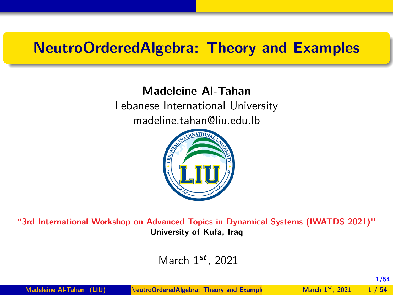## <span id="page-0-0"></span>**NeutroOrderedAlgebra: Theory and Examples**

#### **Madeleine Al-Tahan**

Lebanese International University madeline.tahan@liu.edu.lb



**"3rd International Workshop on Advanced Topics in Dynamical Systems (IWATDS 2021)" University of Kufa, Iraq**

March 1**st** , 2021

**Madeleine Al-Tahan (LIU) NeutroOrderedAlgebra: Theory and Example March 1**<sup>st</sup> *March* **1<sup>st</sup> <b>***1* / 54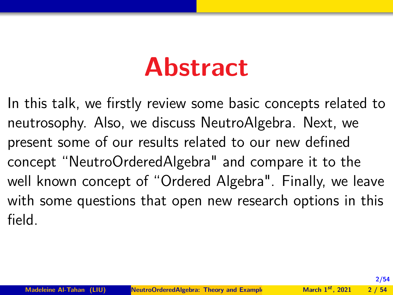## **Abstract**

In this talk, we firstly review some basic concepts related to neutrosophy. Also, we discuss NeutroAlgebra. Next, we present some of our results related to our new defined concept "NeutroOrderedAlgebra" and compare it to the well known concept of "Ordered Algebra". Finally, we leave with some questions that open new research options in this field.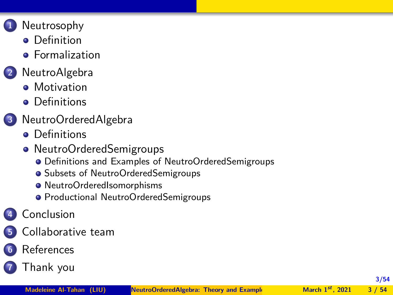- **1** [Neutrosophy](#page-3-0)
	- **•** [Definition](#page-3-0)
	- **•** [Formalization](#page-5-0)

## **2** [NeutroAlgebra](#page-8-0)

- **•** [Motivation](#page-8-0)
- **•** [Definitions](#page-12-0)
- **3** [NeutroOrderedAlgebra](#page-20-0)
	- **•** [Definitions](#page-20-0)
	- [NeutroOrderedSemigroups](#page-25-0)
		- [Definitions and Examples of NeutroOrderedSemigroups](#page-26-0)
		- [Subsets of NeutroOrderedSemigroups](#page-32-0)
		- [NeutroOrderedIsomorphisms](#page-37-0)
		- **[Productional NeutroOrderedSemigroups](#page-41-0)**

## **4** [Conclusion](#page-45-0)

- **5** [Collaborative team](#page-47-0)
- **6** [References](#page-50-0)
- **7** [Thank you](#page-53-0)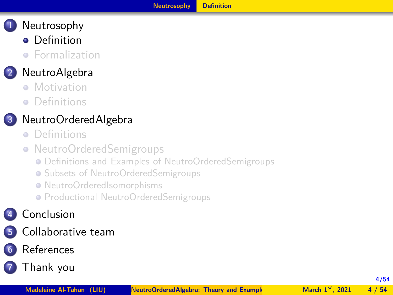- <span id="page-3-0"></span>**•** [Definition](#page-3-0)
- **•** [Formalization](#page-5-0)

## **2** [NeutroAlgebra](#page-8-0)

- **[Motivation](#page-8-0)**
- **•** [Definitions](#page-12-0)

## **3** [NeutroOrderedAlgebra](#page-20-0)

- **•** [Definitions](#page-20-0)
- [NeutroOrderedSemigroups](#page-25-0)
	- [Definitions and Examples of NeutroOrderedSemigroups](#page-26-0)
	- **[Subsets of NeutroOrderedSemigroups](#page-32-0)**
	- [NeutroOrderedIsomorphisms](#page-37-0)
	- **[Productional NeutroOrderedSemigroups](#page-41-0)**

## **4** [Conclusion](#page-45-0)

- **5** [Collaborative team](#page-47-0)
- **6** [References](#page-50-0)

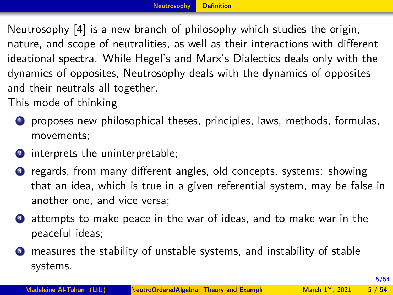<span id="page-4-0"></span>Neutrosophy [4] is a new branch of philosophy which studies the origin, nature, and scope of neutralities, as well as their interactions with different ideational spectra. While Hegel's and Marx's Dialectics deals only with the dynamics of opposites, Neutrosophy deals with the dynamics of opposites and their neutrals all together.

This mode of thinking

- **<sup>1</sup>** proposes new philosophical theses, principles, laws, methods, formulas, movements;
- **2** interprets the uninterpretable;
- **<sup>3</sup>** regards, from many different angles, old concepts, systems: showing that an idea, which is true in a given referential system, may be false in another one, and vice versa;
- **<sup>4</sup>** attempts to make peace in the war of ideas, and to make war in the peaceful ideas;
- **3** measures the stability of unstable systems, and instability of stable systems.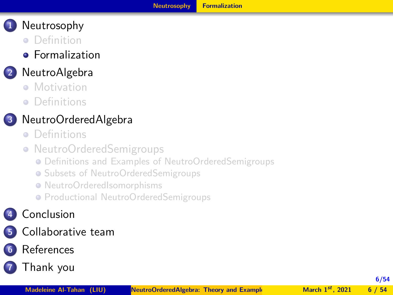- <span id="page-5-0"></span>**•** [Definition](#page-3-0)
- **•** [Formalization](#page-5-0)

## **2** [NeutroAlgebra](#page-8-0)

- **[Motivation](#page-8-0)**
- **•** [Definitions](#page-12-0)

## **3** [NeutroOrderedAlgebra](#page-20-0)

- **•** [Definitions](#page-20-0)
- [NeutroOrderedSemigroups](#page-25-0)
	- [Definitions and Examples of NeutroOrderedSemigroups](#page-26-0)
	- **[Subsets of NeutroOrderedSemigroups](#page-32-0)**
	- [NeutroOrderedIsomorphisms](#page-37-0)
	- **[Productional NeutroOrderedSemigroups](#page-41-0)**

## **4** [Conclusion](#page-45-0)

- **5** [Collaborative team](#page-47-0)
- **6** [References](#page-50-0)
- **7** [Thank you](#page-53-0)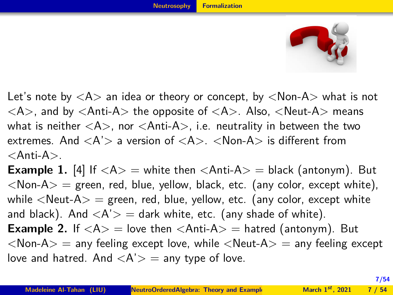

<span id="page-6-0"></span>Let's note by  $\langle A \rangle$  an idea or theory or concept, by  $\langle Non-A \rangle$  what is not  $\langle A \rangle$ , and by  $\langle$ Anti-A $\rangle$  the opposite of  $\langle A \rangle$ . Also,  $\langle$ Neut-A $\rangle$  means what is neither  $\langle A \rangle$ , nor  $\langle Anti-A \rangle$ , i.e. neutrality in between the two extremes. And  $\langle A' \rangle$  a version of  $\langle A \rangle$ .  $\langle$ Non-A $\rangle$  is different from  $<$ Anti-A $>$ .

**Example 1.** [4] If  $\langle A \rangle$  = white then  $\langle$ Anti-A $\rangle$  = black (antonym). But  $\langle$ Non-A $\rangle$  = green, red, blue, yellow, black, etc. (any color, except white), while  $\langle$ Neut-A $\rangle$  = green, red, blue, yellow, etc. (any color, except white and black). And  $\langle A' \rangle$  = dark white, etc. (any shade of white). **Example 2.** If  $\langle A \rangle$  = love then  $\langle$ Anti-A $\rangle$  = hatred (antonym). But  $\langle$ Non-A $\rangle$  = any feeling except love, while  $\langle$ Neut-A $\rangle$  = any feeling except love and hatred. And  $\langle A' \rangle$  = any type of love.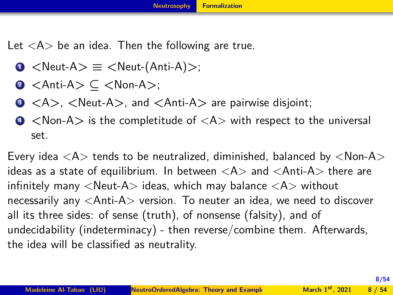<span id="page-7-0"></span>Let  $\langle A \rangle$  be an idea. Then the following are true.

- **<sup>1</sup>** *<*Neut-A*>* **≡** *<*Neut-(Anti-A)*>*;
- **<sup>2</sup>** *<*Anti-A*>* **⊆** *<*Non-A*>*;
- **<sup>3</sup>** *<*A*>*, *<*Neut-A*>*, and *<*Anti-A*>* are pairwise disjoint;
- **<sup>4</sup>** *<*Non-A*>* is the completitude of <A> with respect to the universal set.

Every idea  $\langle A \rangle$  tends to be neutralized, diminished, balanced by  $\langle Non-A \rangle$ ideas as a state of equilibrium. In between  $\langle A \rangle$  and  $\langle$ Anti-A $\rangle$  there are infinitely many  $\langle$  Neut-A $>$  ideas, which may balance  $\langle$  A $>$  without necessarily any <Anti-A> version. To neuter an idea, we need to discover all its three sides: of sense (truth), of nonsense (falsity), and of undecidability (indeterminacy) - then reverse/combine them. Afterwards, the idea will be classified as neutrality.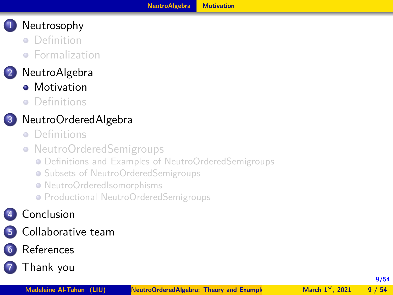- <span id="page-8-0"></span>**•** [Definition](#page-3-0)
- **•** [Formalization](#page-5-0)

## **2** [NeutroAlgebra](#page-8-0)

- **•** [Motivation](#page-8-0)
- **•** [Definitions](#page-12-0)

## **3** [NeutroOrderedAlgebra](#page-20-0)

- **•** [Definitions](#page-20-0)
- [NeutroOrderedSemigroups](#page-25-0)
	- [Definitions and Examples of NeutroOrderedSemigroups](#page-26-0)
	- **[Subsets of NeutroOrderedSemigroups](#page-32-0)**
	- [NeutroOrderedIsomorphisms](#page-37-0)
	- **[Productional NeutroOrderedSemigroups](#page-41-0)**

## **4** [Conclusion](#page-45-0)

- **5** [Collaborative team](#page-47-0)
- **6** [References](#page-50-0)

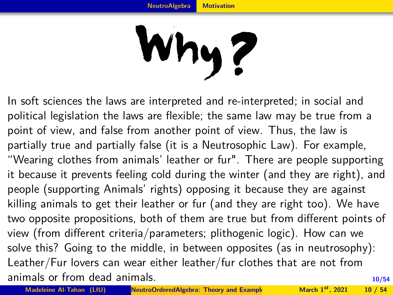# Why?

<span id="page-9-0"></span>**10/54** In soft sciences the laws are interpreted and re-interpreted; in social and political legislation the laws are flexible; the same law may be true from a point of view, and false from another point of view. Thus, the law is partially true and partially false (it is a Neutrosophic Law). For example, "Wearing clothes from animals' leather or fur". There are people supporting it because it prevents feeling cold during the winter (and they are right), and people (supporting Animals' rights) opposing it because they are against killing animals to get their leather or fur (and they are right too). We have two opposite propositions, both of them are true but from different points of view (from different criteria/parameters; plithogenic logic). How can we solve this? Going to the middle, in between opposites (as in neutrosophy): Leather/Fur lovers can wear either leather/fur clothes that are not from animals or from dead animals.

**Madeleine Al-Tahan (LIU) NeutroOrderedAlgebra: Theory and Example March 1<sup>st</sup>, 2021** 10 / 54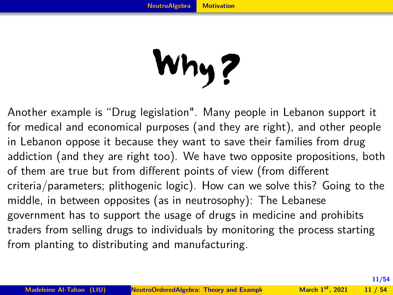## Why?

<span id="page-10-0"></span>Another example is "Drug legislation". Many people in Lebanon support it for medical and economical purposes (and they are right), and other people in Lebanon oppose it because they want to save their families from drug addiction (and they are right too). We have two opposite propositions, both of them are true but from different points of view (from different criteria/parameters; plithogenic logic). How can we solve this? Going to the middle, in between opposites (as in neutrosophy): The Lebanese government has to support the usage of drugs in medicine and prohibits traders from selling drugs to individuals by monitoring the process starting from planting to distributing and manufacturing.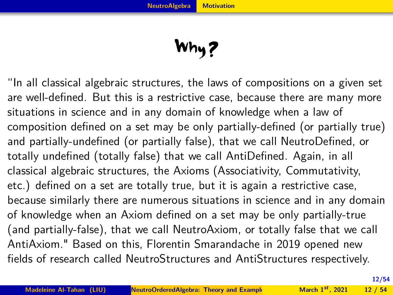Why?

<span id="page-11-0"></span>"In all classical algebraic structures, the laws of compositions on a given set are well-defined. But this is a restrictive case, because there are many more situations in science and in any domain of knowledge when a law of composition defined on a set may be only partially-defined (or partially true) and partially-undefined (or partially false), that we call NeutroDefined, or totally undefined (totally false) that we call AntiDefined. Again, in all classical algebraic structures, the Axioms (Associativity, Commutativity, etc.) defined on a set are totally true, but it is again a restrictive case, because similarly there are numerous situations in science and in any domain of knowledge when an Axiom defined on a set may be only partially-true (and partially-false), that we call NeutroAxiom, or totally false that we call AntiAxiom." Based on this, Florentin Smarandache in 2019 opened new fields of research called NeutroStructures and AntiStructures respectively.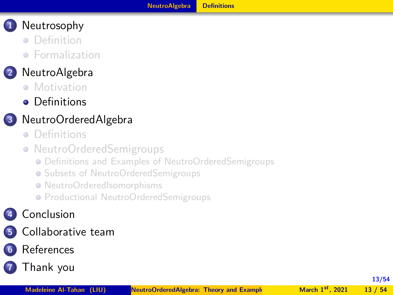- <span id="page-12-0"></span>**•** [Definition](#page-3-0)
- **•** [Formalization](#page-5-0)

## **2** [NeutroAlgebra](#page-8-0)

- **[Motivation](#page-8-0)**
- **•** [Definitions](#page-12-0)

## **3** [NeutroOrderedAlgebra](#page-20-0)

- **•** [Definitions](#page-20-0)
- [NeutroOrderedSemigroups](#page-25-0)
	- [Definitions and Examples of NeutroOrderedSemigroups](#page-26-0)
	- **[Subsets of NeutroOrderedSemigroups](#page-32-0)**
	- [NeutroOrderedIsomorphisms](#page-37-0)
	- **[Productional NeutroOrderedSemigroups](#page-41-0)**

## **4** [Conclusion](#page-45-0)

- **5** [Collaborative team](#page-47-0)
- **6** [References](#page-50-0)
- **7** [Thank you](#page-53-0)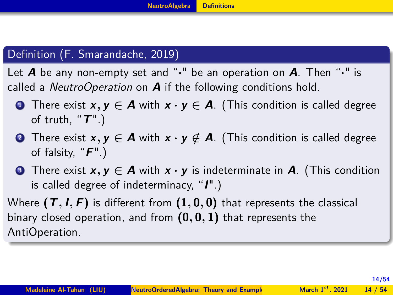#### <span id="page-13-0"></span>Definition (F. Smarandache, 2019)

Let **A** be any non-empty set and "**·**" be an operation on **A**. Then "**·**" is called a NeutroOperation on **A** if the following conditions hold.

- **1** There exist  $x, y \in A$  with  $x \cdot y \in A$ . (This condition is called degree of truth, "**T**".)
- **<sup>2</sup>** There exist **x***,* **y ∈ A** with **x · y ∈***/* **A**. (This condition is called degree of falsity, "**F**".)
- **<sup>3</sup>** There exist **x***,* **y ∈ A** with **x · y** is indeterminate in **A**. (This condition is called degree of indeterminacy, "**I**".)

Where  $(T, I, F)$  is different from  $(1, 0, 0)$  that represents the classical binary closed operation, and from **(0***,* **0***,* **1)** that represents the AntiOperation.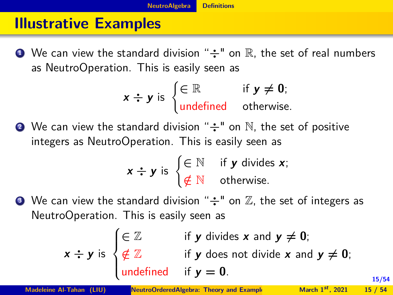## <span id="page-14-0"></span>**Illustrative Examples**

**1** We can view the standard division " $\div$ " on R, the set of real numbers as NeutroOperation. This is easily seen as

$$
x \div y \text{ is } \begin{cases} \in \mathbb{R} & \text{if } y \neq 0; \\ \text{undefined} & \text{otherwise.} \end{cases}
$$

**<sup>2</sup>** We can view the standard division "**÷**" on N, the set of positive integers as NeutroOperation. This is easily seen as

$$
x \div y \text{ is } \begin{cases} \in \mathbb{N} & \text{if } y \text{ divides } x; \\ \notin \mathbb{N} & \text{otherwise.} \end{cases}
$$

**3** We can view the standard division " $\div$ " on  $\mathbb{Z}$ , the set of integers as NeutroOperation. This is easily seen as

$$
x \div y \text{ is } \begin{cases} \in \mathbb{Z} & \text{if } y \text{ divides } x \text{ and } y \neq 0; \\ \notin \mathbb{Z} & \text{if } y \text{ does not divide } x \text{ and } y \neq 0; \\ \text{undefined} & \text{if } y = 0. \end{cases}
$$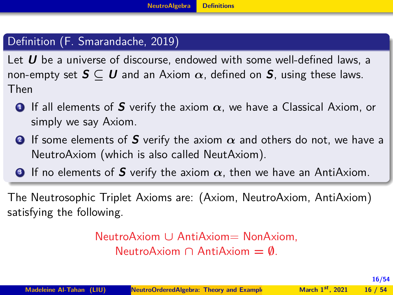## <span id="page-15-0"></span>Definition (F. Smarandache, 2019)

Let **U** be a universe of discourse, endowed with some well-defined laws, a non-empty set **S ⊆ U** and an Axiom *α*, defined on **S**, using these laws. Then

- **<sup>1</sup>** If all elements of **S** verify the axiom *α*, we have a Classical Axiom, or simply we say Axiom.
- **<sup>2</sup>** If some elements of **S** verify the axiom *α* and others do not, we have a NeutroAxiom (which is also called NeutAxiom).
- **<sup>3</sup>** If no elements of **S** verify the axiom *α*, then we have an AntiAxiom.

The Neutrosophic Triplet Axioms are: (Axiom, NeutroAxiom, AntiAxiom) satisfying the following.

> NeutroAxiom **∪** AntiAxiom= NonAxiom, NeutroAxiom **∩** AntiAxiom **= ∅**.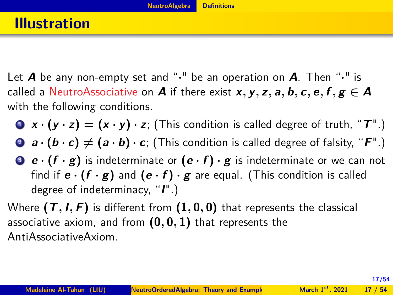- <span id="page-16-0"></span>Let **A** be any non-empty set and "**·**" be an operation on **A**. Then "**·**" is called a NeutroAssociative on **A** if there exist **x**, **y**, **z**, **a**, **b**, **c**, **e**, **f**, **g**  $\in$  **A** with the following conditions.
	- **1**  $\mathbf{x} \cdot (\mathbf{y} \cdot \mathbf{z}) = (\mathbf{x} \cdot \mathbf{y}) \cdot \mathbf{z}$ ; (This condition is called degree of truth, " $\mathbf{T}$ ".)
	- **2 a**  $\cdot$  (**b**  $\cdot$  **c**)  $\neq$  (**a**  $\cdot$  **b**)  $\cdot$  **c**; (This condition is called degree of falsity, "**F**".)
	- **3 e**  $\cdot$  (**f**  $\cdot$  **g**) is indeterminate or (**e**  $\cdot$  **f**)  $\cdot$  **g** is indeterminate or we can not find if  $\mathbf{e} \cdot (\mathbf{f} \cdot \mathbf{g})$  and  $(\mathbf{e} \cdot \mathbf{f}) \cdot \mathbf{g}$  are equal. (This condition is called degree of indeterminacy, "**I**".)
- Where **(T***,* **I***,* **F)** is different from **(1***,* **0***,* **0)** that represents the classical associative axiom, and from **(0***,* **0***,* **1)** that represents the AntiAssociativeAxiom.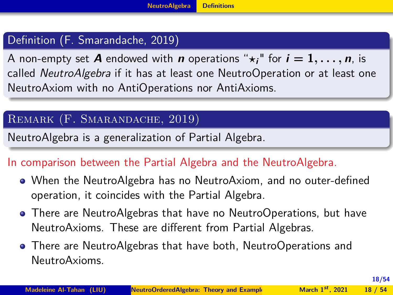#### <span id="page-17-0"></span>Definition (F. Smarandache, 2019)

A non-empty set **A** endowed with **n** operations " $\star_i$ " for  $i = 1, \ldots, n$ , is called *NeutroAlgebra* if it has at least one NeutroOperation or at least one NeutroAxiom with no AntiOperations nor AntiAxioms.

#### Remark (F. Smarandache, 2019)

NeutroAlgebra is a generalization of Partial Algebra.

#### In comparison between the Partial Algebra and the NeutroAlgebra.

- When the NeutroAlgebra has no NeutroAxiom, and no outer-defined operation, it coincides with the Partial Algebra.
- There are NeutroAlgebras that have no NeutroOperations, but have NeutroAxioms. These are different from Partial Algebras.
- There are NeutroAlgebras that have both, NeutroOperations and NeutroAxioms.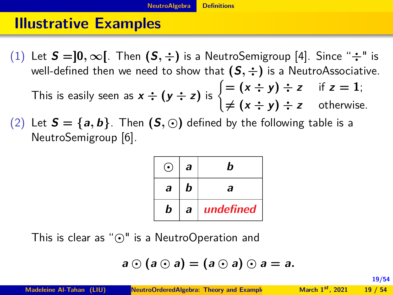## <span id="page-18-0"></span>**Illustrative Examples**

- (1) Let **S =]0***,* **∞[**. Then **(S***,* **÷)** is a NeutroSemigroup [4]. Since "**÷**" is well-defined then we need to show that  $(S, \div)$  is a NeutroAssociative.
	- This is easily seen as  $x \div (y \div z)$  is  $\begin{cases} = (x \div y) \div z & \text{if } z = 1; \\ (x \div z) & \text{if } z = 1; \end{cases}$  $\neq$   $(x \div y) \div z$  otherwise.
- (2) Let  $S = \{a, b\}$ . Then  $(S, \odot)$  defined by the following table is a NeutroSemigroup [6].

| ω, | a | h         |  |  |
|----|---|-----------|--|--|
| a  | b | a         |  |  |
| b  | a | undefined |  |  |

This is clear as "" is a NeutroOperation and

$$
a \odot (a \odot a) = (a \odot a) \odot a = a.
$$

**Madeleine Al-Tahan (LIU) NeutroOrderedAlgebra: Theory and Example March 1<sup>st</sup>, 2021** 19 / 54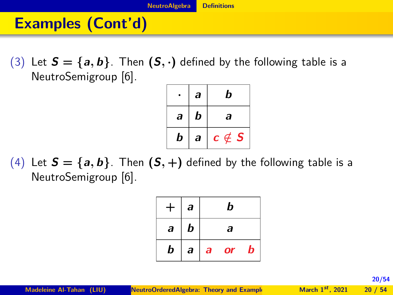## <span id="page-19-0"></span>**Examples (Cont'd)**

(3) Let  $S = \{a, b\}$ . Then  $(S, \cdot)$  defined by the following table is a NeutroSemigroup [6].

|   | a | b                                 |  |
|---|---|-----------------------------------|--|
| a | b | a                                 |  |
| b | a | $\boldsymbol{c}\notin\mathcal{S}$ |  |

(4) Let  $S = \{a, b\}$ . Then  $(S, +)$  defined by the following table is a NeutroSemigroup [6].

| $+$              | $\overline{a}$ | b                |           |   |  |
|------------------|----------------|------------------|-----------|---|--|
| $\boldsymbol{a}$ | b              | $\boldsymbol{a}$ |           |   |  |
| b                | $\overline{a}$ | $\boldsymbol{a}$ | <b>or</b> | b |  |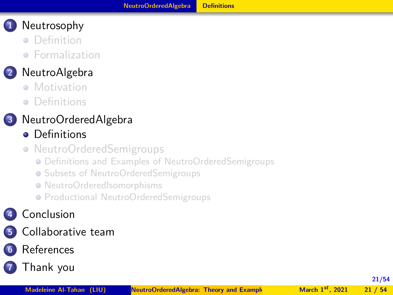- <span id="page-20-0"></span>**•** [Definition](#page-3-0)
- **•** [Formalization](#page-5-0)

## **2** [NeutroAlgebra](#page-8-0)

- **[Motivation](#page-8-0)**
- **•** [Definitions](#page-12-0)

## **3** [NeutroOrderedAlgebra](#page-20-0)

- **•** [Definitions](#page-20-0)
- [NeutroOrderedSemigroups](#page-25-0)
	- [Definitions and Examples of NeutroOrderedSemigroups](#page-26-0)
	- **[Subsets of NeutroOrderedSemigroups](#page-32-0)**
	- [NeutroOrderedIsomorphisms](#page-37-0)
	- **[Productional NeutroOrderedSemigroups](#page-41-0)**

## **4** [Conclusion](#page-45-0)

- **5** [Collaborative team](#page-47-0)
- **6** [References](#page-50-0)
- **7** [Thank you](#page-53-0)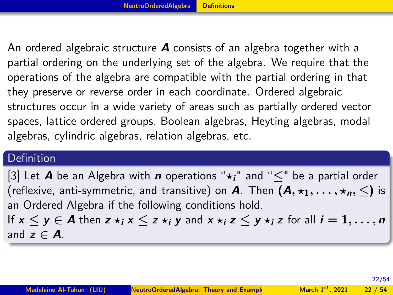<span id="page-21-0"></span>An ordered algebraic structure **A** consists of an algebra together with a partial ordering on the underlying set of the algebra. We require that the operations of the algebra are compatible with the partial ordering in that they preserve or reverse order in each coordinate. Ordered algebraic structures occur in a wide variety of areas such as partially ordered vector spaces, lattice ordered groups, Boolean algebras, Heyting algebras, modal algebras, cylindric algebras, relation algebras, etc.

#### Definition

[\[3\]](#page-51-0) Let **A** be an Algebra with **n** operations " $\star$ <sub>i</sub>" and " $\lt$ " be a partial order (reflexive, anti-symmetric, and transitive) on **A**. Then  $(A, \star_1, \ldots, \star_n, \leq)$  is an Ordered Algebra if the following conditions hold. If  $x \le y \in A$  then  $z \star_i x \le z \star_i y$  and  $x \star_i z \le y \star_i z$  for all  $i = 1, \ldots, n$ 

and  $z \in A$ .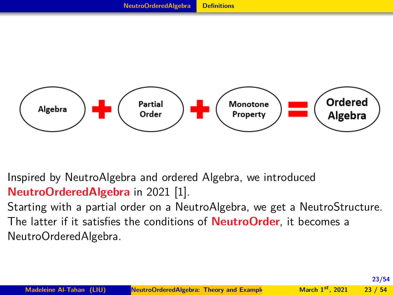<span id="page-22-0"></span>

Inspired by NeutroAlgebra and ordered Algebra, we introduced **NeutroOrderedAlgebra** in 2021 [\[1\]](#page-51-1).

Starting with a partial order on a NeutroAlgebra, we get a NeutroStructure. The latter if it satisfies the conditions of **NeutroOrder**, it becomes a NeutroOrderedAlgebra.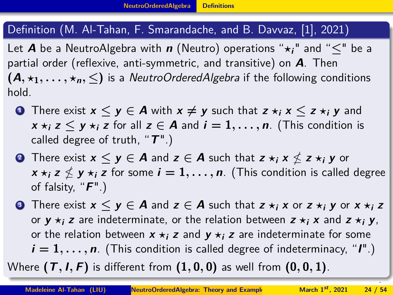#### <span id="page-23-0"></span>Definition (M. Al-Tahan, F. Smarandache, and B. Davvaz, [\[1\]](#page-51-1), 2021)

Let **A** be a NeutroAlgebra with **n** (Neutro) operations " $\star$ <sub>i</sub>" and " $\lt$ " be a partial order (reflexive, anti-symmetric, and transitive) on **A**. Then  $(A, \star_1, \ldots, \star_n, \leq)$  is a NeutroOrderedAlgebra if the following conditions hold.

- **1** There exist  $x \le y \in A$  with  $x \ne y$  such that  $z \ne i$ ,  $x \le z \ne i$ , y and *x*  $\star$ *i* **<b>z**  $\lt$  **y**  $\star$ *i* **z** for all **z**  $\in$  **A** and *i* **= 1, . . . , n**. (This condition is called degree of truth, "**T**".)
- **2** There exist  $\mathbf{x} \leq \mathbf{y} \in \mathbf{A}$  and  $\mathbf{z} \in \mathbf{A}$  such that  $\mathbf{z} \star_i \mathbf{x} \nleq \mathbf{z} \star_i \mathbf{y}$  or  $\mathbf{x} \star_i \mathbf{z} \nleq \mathbf{y} \star_i \mathbf{z}$  for some  $\boldsymbol{i} = 1, \dots, \boldsymbol{n}$ . (This condition is called degree of falsity, "**F**".)
- **3** There exist  $\mathbf{x} \leq \mathbf{y} \in \mathbf{A}$  and  $\mathbf{z} \in \mathbf{A}$  such that  $\mathbf{z} \star_i \mathbf{x}$  or  $\mathbf{z} \star_i \mathbf{y}$  or  $\mathbf{x} \star_i \mathbf{z}$ or  $y \star i$  **z** are indeterminate, or the relation between  $z \star i$  **x** and  $z \star i$  **y**, or the relation between  $x \star i$  **z** and  $y \star i$  **z** are indeterminate for some  $\bm{i} = 1, \ldots, \bm{n}$ . (This condition is called degree of indeterminacy, " $\bm{l}$ ".)

Where  $(T, I, F)$  is different from  $(1, 0, 0)$  as well from  $(0, 0, 1)$ .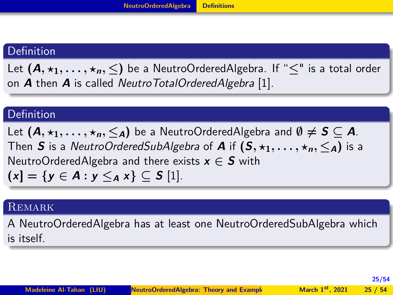#### <span id="page-24-0"></span>Definition

Let  $(A, \star_1, \ldots, \star_n, \leq)$  be a NeutroOrderedAlgebra. If " $\leq$ " is a total order on **A** then **A** is called NeutroTotalOrderedAlgebra [1].

#### **Definition**

Let  $(A, \star_1, \ldots, \star_n, \leq_A)$  be a NeutroOrderedAlgebra and  $\emptyset \neq S \subseteq A$ . Then **S** is a NeutroOrderedSubAlgebra of **A** if  $(S, \star_1, \ldots, \star_n, \leq_A)$  is a NeutroOrderedAlgebra and there exists  $x \in S$  with  $(x| = \{ y \in A : y \leq_A x \}$  ⊂ **S** [1].

#### **REMARK**

A NeutroOrderedAlgebra has at least one NeutroOrderedSubAlgebra which is itself.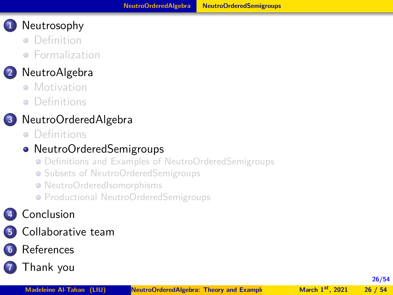- <span id="page-25-0"></span>**•** [Definition](#page-3-0)
- **•** [Formalization](#page-5-0)

## **2** [NeutroAlgebra](#page-8-0)

- **[Motivation](#page-8-0)**
- [Definitions](#page-12-0)

## **3** [NeutroOrderedAlgebra](#page-20-0)

**•** [Definitions](#page-20-0)

## • [NeutroOrderedSemigroups](#page-25-0)

- [Definitions and Examples of NeutroOrderedSemigroups](#page-26-0)
- **[Subsets of NeutroOrderedSemigroups](#page-32-0)**
- [NeutroOrderedIsomorphisms](#page-37-0)
- **[Productional NeutroOrderedSemigroups](#page-41-0)**

## **4** [Conclusion](#page-45-0)

**5** [Collaborative team](#page-47-0)

## **6** [References](#page-50-0)

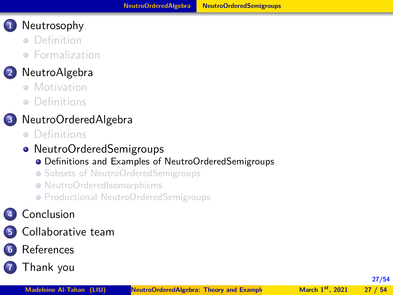- <span id="page-26-0"></span>**•** [Definition](#page-3-0)
- **•** [Formalization](#page-5-0)

## **2** [NeutroAlgebra](#page-8-0)

- **[Motivation](#page-8-0)**
- [Definitions](#page-12-0)

## **3** [NeutroOrderedAlgebra](#page-20-0)

- **•** [Definitions](#page-20-0)
- [NeutroOrderedSemigroups](#page-25-0)

#### [Definitions and Examples of NeutroOrderedSemigroups](#page-26-0)

- **[Subsets of NeutroOrderedSemigroups](#page-32-0)**
- [NeutroOrderedIsomorphisms](#page-37-0)
- **[Productional NeutroOrderedSemigroups](#page-41-0)**

## **4** [Conclusion](#page-45-0)

- **5** [Collaborative team](#page-47-0)
- **6** [References](#page-50-0)
- **7** [Thank you](#page-53-0)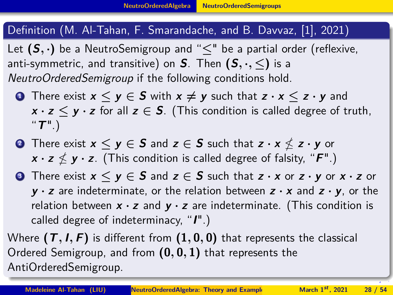#### <span id="page-27-0"></span>Definition (M. Al-Tahan, F. Smarandache, and B. Davvaz, [\[1\]](#page-51-1), 2021)

Let  $(S, \cdot)$  be a NeutroSemigroup and " $\leq$ " be a partial order (reflexive, anti-symmetric, and transitive) on **S**. Then  $(S, \cdot, \leq)$  is a NeutroOrderedSemigroup if the following conditions hold.

- **1 1** There exist  $x \le y \in S$  with  $x \ne y$  such that  $z \cdot x \le z \cdot y$  and  $x \cdot z \leq y \cdot z$  for all  $z \in S$ . (This condition is called degree of truth, "**T**".)
- **2** There exist  $\mathbf{x} \leq \mathbf{y} \in \mathbf{S}$  and  $\mathbf{z} \in \mathbf{S}$  such that  $\mathbf{z} \cdot \mathbf{x} \nleq \mathbf{z} \cdot \mathbf{y}$  or  $\mathbf{x} \cdot \mathbf{z} \nleq \mathbf{y} \cdot \mathbf{z}$ . (This condition is called degree of falsity, " $\mathbf{F}$ ".)
- **3** There exist  $x \le y \in S$  and  $z \in S$  such that  $z \cdot x$  or  $z \cdot y$  or  $x \cdot z$  or **y · z** are indeterminate, or the relation between **z · x** and **z · y**, or the relation between **x · z** and **y · z** are indeterminate. (This condition is called degree of indeterminacy, "**I**".)

Where **(T***,* **I***,* **F)** is different from **(1***,* **0***,* **0)** that represents the classical Ordered Semigroup, and from **(0***,* **0***,* **1)** that represents the AntiOrderedSemigroup.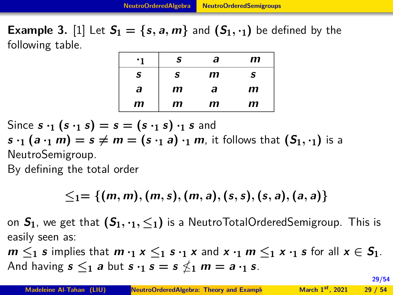#### <span id="page-28-0"></span>**Example 3.** [1] Let  $S_1 = \{s, a, m\}$  and  $(S_1, \cdot_1)$  be defined by the following table.

| ٠1 | S | а | m |
|----|---|---|---|
| S  | S | m | S |
| a  | m | a | m |
| m  | m | m | m |

Since  $s \cdot_1 (s \cdot_1 s) = s = (s \cdot_1 s) \cdot_1 s$  and

 $s \cdot_1 (a \cdot_1 m) = s \neq m = (s \cdot_1 a) \cdot_1 m$ , it follows that  $(S_1, \cdot_1)$  is a NeutroSemigroup.

By defining the total order

$$
\leq_1=\{(m,m),(m,s),(m,a),(s,s),(s,a),(a,a)\}
$$

on  $S_1$ , we get that  $(S_1, \cdot_1, \leq_1)$  is a NeutroTotalOrderedSemigroup. This is easily seen as:

 $m \leq_1 s$  implies that  $m \cdot_1 x \leq_1 s \cdot_1 x$  and  $x \cdot_1 m \leq_1 x \cdot_1 s$  for all  $x \in S_1$ . And having  $s \leq_1$  a but  $s \cdot_1 s = s \nleq_1 m = a \cdot_1 s$ .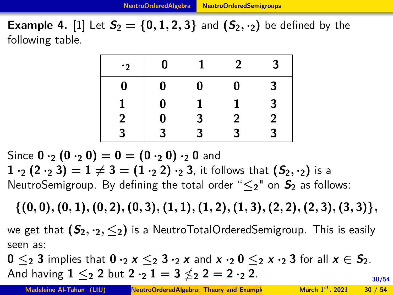<span id="page-29-0"></span>**Example 4.** [1] Let  $S_2 = \{0, 1, 2, 3\}$  and  $(S_2, \cdot_2)$  be defined by the following table.

| $\cdot$ 2   | 0              |   | 2              | 3                       |
|-------------|----------------|---|----------------|-------------------------|
| 0           | 0              | 0 | $\bf{0}$       | 3                       |
|             | $\bf{0}$       |   | 1.             | 3                       |
| $\mathbf 2$ | $\bf{0}$       | 3 | $\overline{2}$ | $\overline{\mathbf{c}}$ |
| 3           | $\overline{3}$ | ર | 3              | 3                       |

Since  $0 \cdot_2 (0 \cdot_2 0) = 0 = (0 \cdot_2 0) \cdot_2 0$  and  $1 \cdot_2 (2 \cdot_2 3) = 1 \neq 3 = (1 \cdot_2 2) \cdot_2 3$ , it follows that  $(S_2, \cdot_2)$  is a NeutroSemigroup. By defining the total order "**≤2**" on **S<sup>2</sup>** as follows:

 $\{(0,0), (0,1), (0,2), (0,3), (1,1), (1,2), (1,3), (2,2), (2,3), (3,3)\},$ we get that  $(S_2, \cdot_2, \leq_2)$  is a NeutroTotalOrderedSemigroup. This is easily seen as:

**30/54**  $0 \leq_2 3$  implies that  $0 \cdot_2 x \leq_2 3 \cdot_2 x$  and  $x \cdot_2 0 \leq_2 x \cdot_2 3$  for all  $x \in S_2$ . And having  $1 \leq_2 2$  but  $2 \cdot_2 1 = 3 \nleq_2 2 = 2 \cdot_2 2$ .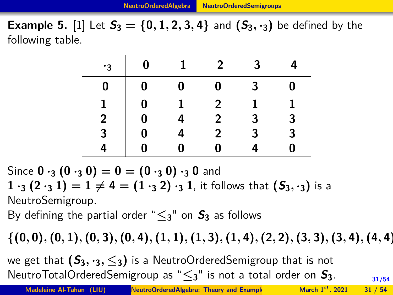<span id="page-30-0"></span>**Example 5.** [1] Let  $S_3 = \{0, 1, 2, 3, 4\}$  and  $(S_3, \cdot_3)$  be defined by the following table.

| $\cdot$ 3      | $\bf{0}$                                              | $\mathbf{1}$ | $2^{\circ}$    | 3 <sup>1</sup> | 4              |
|----------------|-------------------------------------------------------|--------------|----------------|----------------|----------------|
| 0              |                                                       | $\bf{0}$     | $\mathbf{0}$   | 3 <sup>1</sup> | $\bf{0}$       |
|                | $\begin{bmatrix} 0 \ 0 \ 0 \ 0 \ 0 \ 0 \end{bmatrix}$ |              | 2 <sup>1</sup> |                | 1              |
| $\overline{2}$ |                                                       | 4            | 2 <sup>7</sup> | 3 <sup>1</sup> | 3 <sup>1</sup> |
| 3              |                                                       | 4            | $\overline{2}$ | 3              | 3              |
| 4              |                                                       | 0            | 0              |                | $\bf{0}$       |

Since  $0 \cdot_3 (0 \cdot_3 0) = 0 = (0 \cdot_3 0) \cdot_3 0$  and

 $1 \cdot_3 (2 \cdot_3 1) = 1 \neq 4 = (1 \cdot_3 2) \cdot_3 1$ , it follows that  $(S_3, \cdot_3)$  is a NeutroSemigroup.

By defining the partial order " $\leq_3$ " on  $S_3$  as follows

 $\{(0,0), (0,1), (0,3), (0,4), (1,1), (1,3), (1,4), (2,2), (3,3), (3,4), (4,4)\}$ 

we get that  $(S_3, \cdot_3, \leq_3)$  is a NeutroOrderedSemigroup that is not NeutroTotalOrderedSemigroup as "**≤3**" is not a total order on **S3**.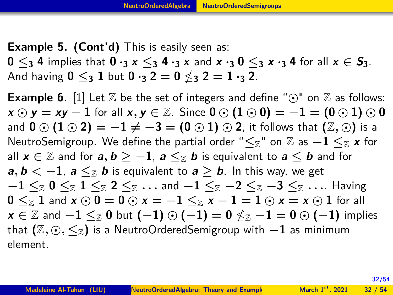<span id="page-31-0"></span>**Example 5. (Cont'd)** This is easily seen as:  $0 \leq_3 4$  implies that  $0 \cdot_3 x \leq_3 4 \cdot_3 x$  and  $x \cdot_3 0 \leq_3 x \cdot_3 4$  for all  $x \in S_3$ . And having  $0 \leq_3 1$  but  $0 \cdot_3 2 = 0 \nleq_3 2 = 1 \cdot_3 2$ .

**Example 6.** [1] Let  $\mathbb{Z}$  be the set of integers and define " $\odot$ " on  $\mathbb{Z}$  as follows:  $x \odot y = xy - 1$  for all  $x, y \in \mathbb{Z}$ . Since  $0 \odot (1 \odot 0) = -1 = (0 \odot 1) \odot 0$ and  $\mathbf{0} \odot (\mathbf{1} \odot \mathbf{2}) = -\mathbf{1} \neq -\mathbf{3} = (\mathbf{0} \odot \mathbf{1}) \odot \mathbf{2}$ , it follows that  $(\mathbb{Z}, \odot)$  is a NeutroSemigroup. We define the partial order " $\leq_{\mathbb{Z}}$ " on  $\mathbb{Z}$  as  $-1 \leq_{\mathbb{Z}} x$  for all  $x \in \mathbb{Z}$  and for  $a, b \ge -1$ ,  $a \le \mathbb{Z}$  b is equivalent to  $a \le b$  and for **a**,  $\mathbf{b} \leq -1$ ,  $\mathbf{a} \leq_{\mathbb{Z}} \mathbf{b}$  is equivalent to  $\mathbf{a} \geq \mathbf{b}$ . In this way, we get **−1 ≤**Z **0 ≤**Z **1 ≤**Z **2 ≤**Z *. . .* and **−1 ≤**Z **−2 ≤**Z **−3 ≤**Z *. . .*. Having  $0 \leq_{\mathbb{Z}} 1$  and  $x \odot 0 = 0 \odot x = -1 \leq_{\mathbb{Z}} x - 1 = 1 \odot x = x \odot 1$  for all  $\mathbf{x} \in \mathbb{Z}$  and  $-1 \leq_{\mathbb{Z}} \mathbf{0}$  but  $(-1) \odot (-1) = \mathbf{0} \nleq_{\mathbb{Z}} -1 = \mathbf{0} \odot (-1)$  implies that **(**Z*,* *,* **≤**Z**)** is a NeutroOrderedSemigroup with **−1** as minimum element.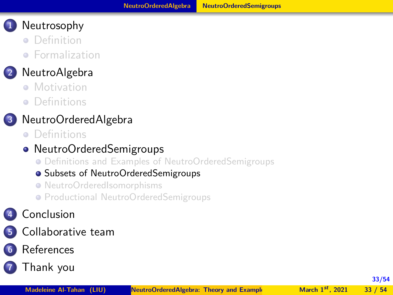- <span id="page-32-0"></span>**•** [Definition](#page-3-0)
- **•** [Formalization](#page-5-0)

## **2** [NeutroAlgebra](#page-8-0)

- **[Motivation](#page-8-0)**
- [Definitions](#page-12-0)

## **3** [NeutroOrderedAlgebra](#page-20-0)

**•** [Definitions](#page-20-0)

## • [NeutroOrderedSemigroups](#page-25-0)

[Definitions and Examples of NeutroOrderedSemigroups](#page-26-0)

#### [Subsets of NeutroOrderedSemigroups](#page-32-0)

- [NeutroOrderedIsomorphisms](#page-37-0)
- **[Productional NeutroOrderedSemigroups](#page-41-0)**

## **4** [Conclusion](#page-45-0)

**5** [Collaborative team](#page-47-0)

## **6** [References](#page-50-0)

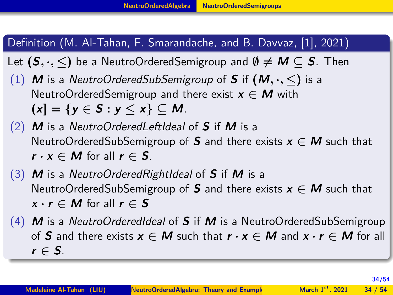#### <span id="page-33-0"></span>Definition (M. Al-Tahan, F. Smarandache, and B. Davvaz, [\[1\]](#page-51-1), 2021)

- Let  $(S, \cdot, \leq)$  be a NeutroOrderedSemigroup and  $\emptyset \neq M \subseteq S$ . Then
- (1) **M** is a NeutroOrderedSubSemigroup of **S** if  $(M, \cdot, \leq)$  is a NeutroOrderedSemigroup and there exist **x ∈ M** with **(x] = {y ∈ S : y ≤ x} ⊆ M**.
- (2) **M** is a NeutroOrderedLeftIdeal of **S** if **M** is a NeutroOrderedSubSemigroup of **S** and there exists **x ∈ M** such that  $r \cdot x \in M$  for all  $r \in S$ .
- (3) **M** is a NeutroOrderedRightIdeal of **S** if **M** is a NeutroOrderedSubSemigroup of **S** and there exists  $x \in M$  such that  $x \cdot r \in M$  for all  $r \in S$
- (4) **M** is a NeutroOrderedIdeal of **S** if **M** is a NeutroOrderedSubSemigroup of **S** and there exists  $x \in M$  such that  $r \cdot x \in M$  and  $x \cdot r \in M$  for all  $r \in S$ .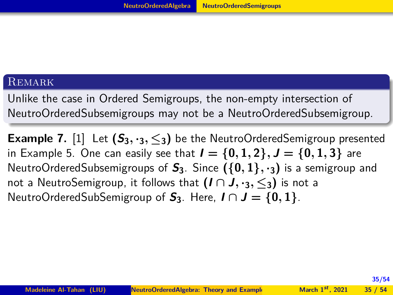#### <span id="page-34-0"></span>**REMARK**

Unlike the case in Ordered Semigroups, the non-empty intersection of NeutroOrderedSubsemigroups may not be a NeutroOrderedSubsemigroup.

**Example 7.** [1] Let  $(S_3, \cdot_3, \leq_3)$  be the NeutroOrderedSemigroup presented in Example 5. One can easily see that  $I = \{0, 1, 2\}$ ,  $J = \{0, 1, 3\}$  are NeutroOrderedSubsemigroups of **S3**. Since **({0***,* **1}***,* **·3)** is a semigroup and not a NeutroSemigroup, it follows that  $(I \cap J, \cdot, \cdot, \leq)$  is not a NeutroOrderedSubSemigroup of  $S_3$ . Here,  $I \cap J = \{0, 1\}$ .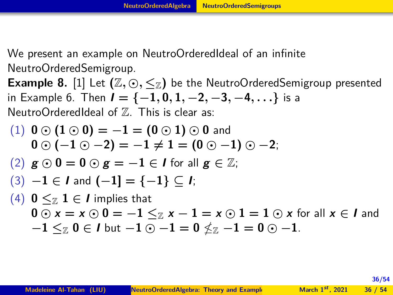<span id="page-35-0"></span>We present an example on NeutroOrderedIdeal of an infinite NeutroOrderedSemigroup.

**Example 8.** [1] Let  $(\mathbb{Z}, \odot, \leq_{\mathbb{Z}})$  be the NeutroOrderedSemigroup presented in Example 6. Then  $I = \{-1, 0, 1, -2, -3, -4, ...\}$  is a NeutroOrderedIdeal of  $\mathbb Z$ . This is clear as:

\n- (1) 
$$
0 \odot (1 \odot 0) = -1 = (0 \odot 1) \odot 0
$$
 and  $0 \odot (-1 \odot -2) = -1 \neq 1 = (0 \odot -1) \odot -2;$
\n- (2)  $g \odot 0 = 0 \odot g = -1 \in I$  for all  $g \in \mathbb{Z}$ ;
\n- (3)  $-1 \in I$  and  $(-1] = \{-1\} \subseteq I$ ;
\n- (4)  $0 \leq z \leq 1 \in I$  implies that  $0 \odot x = x \odot 0 = -1 \leq z \times -1 = x \odot 1 = 1 \odot x$  for all  $x \in I$  and  $-1 \leq z \circ 0 \in I$  but  $-1 \odot -1 = 0 \nleq z \neg 1 = 0 \odot -1$ .
\n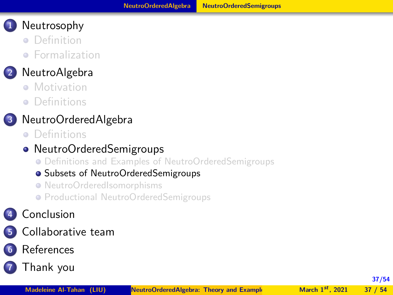- <span id="page-36-0"></span>**•** [Definition](#page-3-0)
- **•** [Formalization](#page-5-0)

## **2** [NeutroAlgebra](#page-8-0)

- **[Motivation](#page-8-0)**
- [Definitions](#page-12-0)

## **3** [NeutroOrderedAlgebra](#page-20-0)

**•** [Definitions](#page-20-0)

## • [NeutroOrderedSemigroups](#page-25-0)

[Definitions and Examples of NeutroOrderedSemigroups](#page-26-0)

#### **•** [Subsets of NeutroOrderedSemigroups](#page-32-0)

- [NeutroOrderedIsomorphisms](#page-37-0)
- **[Productional NeutroOrderedSemigroups](#page-41-0)**

## **4** [Conclusion](#page-45-0)

**5** [Collaborative team](#page-47-0)

## **6** [References](#page-50-0)

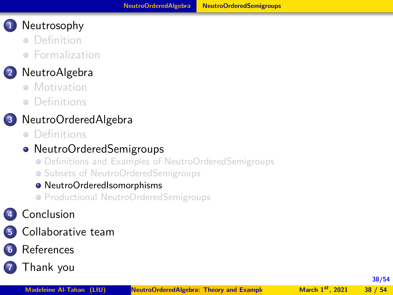- <span id="page-37-0"></span>**•** [Definition](#page-3-0)
- **•** [Formalization](#page-5-0)

## **2** [NeutroAlgebra](#page-8-0)

- **[Motivation](#page-8-0)**
- [Definitions](#page-12-0)

## **3** [NeutroOrderedAlgebra](#page-20-0)

**•** [Definitions](#page-20-0)

## • [NeutroOrderedSemigroups](#page-25-0)

- [Definitions and Examples of NeutroOrderedSemigroups](#page-26-0)
- **[Subsets of NeutroOrderedSemigroups](#page-32-0)**

#### [NeutroOrderedIsomorphisms](#page-37-0)

**• [Productional NeutroOrderedSemigroups](#page-41-0)** 

## **4** [Conclusion](#page-45-0)

**5** [Collaborative team](#page-47-0)

## **6** [References](#page-50-0)

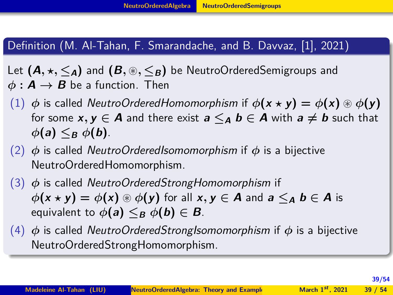#### <span id="page-38-0"></span>Definition (M. Al-Tahan, F. Smarandache, and B. Davvaz, [\[1\]](#page-51-1), 2021)

Let  $(A, \star, \leq_A)$  and  $(B, \circledast, \leq_B)$  be NeutroOrderedSemigroups and  $\phi: \mathbf{A} \to \mathbf{B}$  be a function. Then

- (1)  $\phi$  is called *NeutroOrderedHomomorphism* if  $\phi(\mathbf{x} \star \mathbf{y}) = \phi(\mathbf{x}) \circledast \phi(\mathbf{y})$ for some  $x, y \in A$  and there exist  $a \leq_{A} b \in A$  with  $a \neq b$  such that  $\phi$ **(a**)  $\leq_B$   $\phi$ **(b**).
- (2) *φ* is called NeutroOrderedIsomomorphism if *φ* is a bijective NeutroOrderedHomomorphism.
- (3) *φ* is called NeutroOrderedStrongHomomorphism if  $\phi(x \star y) = \phi(x) \circledast \phi(y)$  for all  $x, y \in A$  and  $a \leq_A b \in A$  is equivalent to  $\phi(\mathbf{a}) \leq_B \phi(\mathbf{b}) \in \mathbf{B}$ .
- (4) *φ* is called NeutroOrderedStrongIsomomorphism if *φ* is a bijective NeutroOrderedStrongHomomorphism.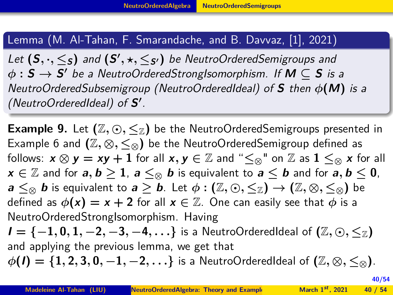<span id="page-39-0"></span>Lemma (M. Al-Tahan, F. Smarandache, and B. Davvaz, [\[1\]](#page-51-1), 2021)

Let  $(\mathsf{S}, \cdot, \leq_{\mathsf{S}})$  and  $(\mathsf{S}', \star, \leq_{\mathsf{S}'})$  be NeutroOrderedSemigroups and *φ* **: S → S <sup>0</sup>** be a NeutroOrderedStrongIsomorphism. If **M ⊆ S** is a NeutroOrderedSubsemigroup (NeutroOrderedIdeal) of **S** then *φ***(M)** is a (NeutroOrderedIdeal) of **S 0** .

**Example 9.** Let  $(\mathbb{Z}, \odot, \leq_{\mathbb{Z}})$  be the NeutroOrderedSemigroups presented in Example 6 and  $(\mathbb{Z}, \otimes, \leq_{\otimes})$  be the NeutroOrderedSemigroup defined as follows:  $x \otimes y = xy + 1$  for all  $x, y \in \mathbb{Z}$  and " $\leq_{\otimes}$ " on  $\mathbb{Z}$  as  $1 \leq_{\otimes} x$  for all **x**  $\in \mathbb{Z}$  and for **a**, **b**  $\geq$  **1**, **a**  $\leq$ ⊗ **b** is equivalent to **a**  $\leq$  **b** and for **a**, **b**  $\leq$  **0**, **a**  $\leq$   $\otimes$  **b** is equivalent to **a**  $\geq$  **b**. Let  $\phi$  : (Z,  $\odot$ ,  $\leq$ <sub>Z</sub>)  $\rightarrow$  (Z,  $\otimes$ ,  $\leq$ <sub> $\otimes$ </sub>) be defined as  $\phi(\mathbf{x}) = \mathbf{x} + 2$  for all  $\mathbf{x} \in \mathbb{Z}$ . One can easily see that  $\phi$  is a NeutroOrderedStrongIsomorphism. Having  $I = \{-1, 0, 1, -2, -3, -4, \ldots\}$  is a NeutroOrderedIdeal of  $(\mathbb{Z}, \odot, \leq_{\mathbb{Z}})$ and applying the previous lemma, we get that  $\phi(I) = \{1, 2, 3, 0, -1, -2, \ldots\}$  is a NeutroOrderedIdeal of  $(\mathbb{Z}, \otimes, \leq_{\otimes})$ .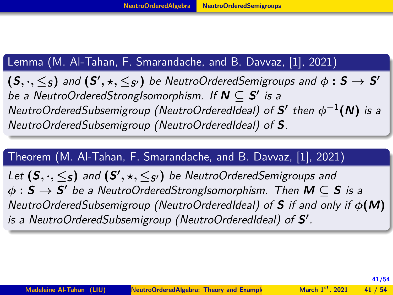#### <span id="page-40-0"></span>Lemma (M. Al-Tahan, F. Smarandache, and B. Davvaz, [\[1\]](#page-51-1), 2021)

 $(\mathsf{S},\cdot,\leq_{\mathsf{S}})$  and  $(\mathsf{S}',\star,\leq_{\mathsf{S}'})$  be NeutroOrderedSemigroups and  $\phi:\mathsf{S}\to\mathsf{S}'$ be a NeutroOrderedStrongIsomorphism. If  $N \subseteq S'$  is a NeutroOrderedSubsemigroup (NeutroOrderedIdeal) of  $S'$  then  $\phi^{-1}(N)$  is a NeutroOrderedSubsemigroup (NeutroOrderedIdeal) of **S**.

#### Theorem (M. Al-Tahan, F. Smarandache, and B. Davvaz, [\[1\]](#page-51-1), 2021)

Let  $(\mathsf{S}, \cdot, \leq_{\mathsf{S}})$  and  $(\mathsf{S}', \star, \leq_{\mathsf{S}'})$  be NeutroOrderedSemigroups and *φ* **: S → S <sup>0</sup>** be a NeutroOrderedStrongIsomorphism. Then **M ⊆ S** is a NeutroOrderedSubsemigroup (NeutroOrderedIdeal) of **S** if and only if *φ***(M)** is a NeutroOrderedSubsemigroup (NeutroOrderedIdeal) of **S'**.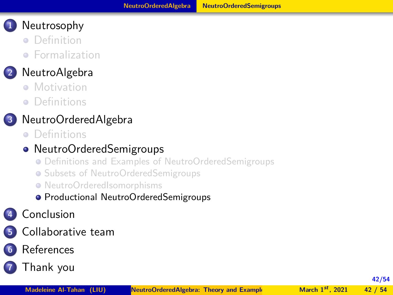- <span id="page-41-0"></span>**•** [Definition](#page-3-0)
- **•** [Formalization](#page-5-0)

## **2** [NeutroAlgebra](#page-8-0)

- **[Motivation](#page-8-0)**
- [Definitions](#page-12-0)

## **3** [NeutroOrderedAlgebra](#page-20-0)

**•** [Definitions](#page-20-0)

## • [NeutroOrderedSemigroups](#page-25-0)

- [Definitions and Examples of NeutroOrderedSemigroups](#page-26-0)
- **[Subsets of NeutroOrderedSemigroups](#page-32-0)**
- [NeutroOrderedIsomorphisms](#page-37-0)
- **[Productional NeutroOrderedSemigroups](#page-41-0)**

## **4** [Conclusion](#page-45-0)

- **5** [Collaborative team](#page-47-0)
- **6** [References](#page-50-0)
- **7** [Thank you](#page-53-0)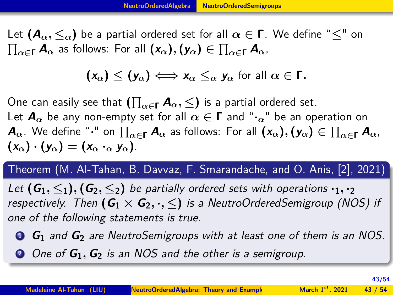<span id="page-42-0"></span>Let  $(A_\alpha, \leq_\alpha)$  be a partial ordered set for all  $\alpha \in \Gamma$ . We define " $\leq$ " on  $\prod_{\alpha \in \Gamma} A_{\alpha}$  as follows: For all  $(x_{\alpha}), (y_{\alpha}) \in \prod_{\alpha \in \Gamma} A_{\alpha}$ ,

$$
(x_{\alpha}) \leq (y_{\alpha}) \Longleftrightarrow x_{\alpha} \leq_{\alpha} y_{\alpha} \text{ for all } \alpha \in \Gamma.
$$

 $\Box$  One can easily see that  $\left(\prod_{\alpha \in \Gamma} \mathcal{A}_\alpha, \leq \right)$  is a partial ordered set. Let  $\mathbf{A}_{\alpha}$  be any non-empty set for all  $\alpha \in \mathbf{\Gamma}$  and " $\cdot$ <sup>n</sup> be an operation on  $\bm A_\alpha.$  We define " $\cdot$ " on  $\prod_{\alpha\in\Gamma}\bm A_\alpha$  as follows: For all  $(x_\alpha), (y_\alpha)\in\prod_{\alpha\in\Gamma}\bm A_\alpha$ ,  $(\mathbf{x}_{\alpha}) \cdot (\mathbf{y}_{\alpha}) = (\mathbf{x}_{\alpha} \cdot \mathbf{y}_{\alpha})$ .

Theorem (M. Al-Tahan, B. Davvaz, F. Smarandache, and O. Anis, [\[2\]](#page-51-2), 2021)

Let  $(G_1, \leq_1), (G_2, \leq_2)$  be partially ordered sets with operations  $\cdot_1, \cdot_2$ respectively. Then  $(G_1 \times G_2, \cdot, \leq)$  is a NeutroOrderedSemigroup (NOS) if one of the following statements is true.

**<sup>1</sup> G<sup>1</sup>** and **G<sup>2</sup>** are NeutroSemigroups with at least one of them is an NOS.

**<sup>2</sup>** One of **G1***,* **G<sup>2</sup>** is an NOS and the other is a semigroup.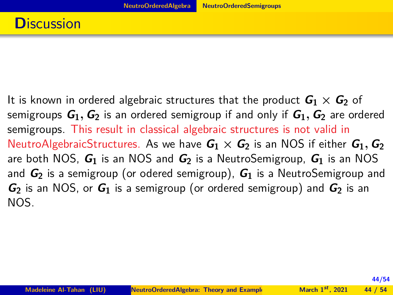<span id="page-43-0"></span>It is known in ordered algebraic structures that the product  $G_1 \times G_2$  of semigroups  $G_1$ ,  $G_2$  is an ordered semigroup if and only if  $G_1$ ,  $G_2$  are ordered semigroups. This result in classical algebraic structures is not valid in NeutroAlgebraicStructures. As we have  $G_1 \times G_2$  is an NOS if either  $G_1$ ,  $G_2$ are both NOS, **G<sup>1</sup>** is an NOS and **G<sup>2</sup>** is a NeutroSemigroup, **G<sup>1</sup>** is an NOS and **G<sup>2</sup>** is a semigroup (or odered semigroup), **G<sup>1</sup>** is a NeutroSemigroup and **G<sup>2</sup>** is an NOS, or **G<sup>1</sup>** is a semigroup (or ordered semigroup) and **G<sup>2</sup>** is an NOS.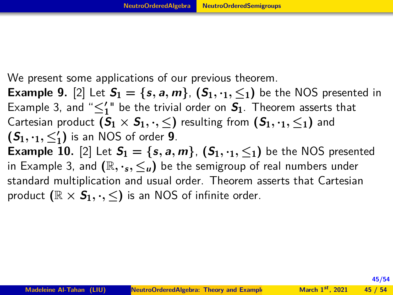<span id="page-44-0"></span>We present some applications of our previous theorem.

**Example 9.** [2] Let  $S_1 = \{s, a, m\}$ ,  $(S_1, \cdot_1, \leq_1)$  be the NOS presented in Example 3, and " $\leq_1'$ " be the trivial order on  $S_1$ . Theorem asserts that Cartesian product  $(S_1 \times S_1, \cdot, \leq)$  resulting from  $(S_1, \cdot_1, \leq_1)$  and  $(S_1, Y_1, \leq'_1)$  is an NOS of order **9**. **Example 10.** [2] Let  $S_1 = \{s, a, m\}$ ,  $(S_1, \cdot, \cdot, \leq_1)$  be the NOS presented in Example 3, and  $(\mathbb{R}, \cdot, \cdot, \leq_{\mu})$  be the semigroup of real numbers under standard multiplication and usual order. Theorem asserts that Cartesian product  $(\mathbb{R} \times S_1, \cdot, \leq)$  is an NOS of infinite order.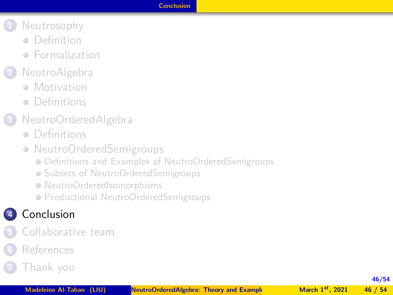#### **[Conclusion](#page-45-0)**

- <span id="page-45-0"></span>**1** [Neutrosophy](#page-3-0)
	- **•** [Definition](#page-3-0)
	- **•** [Formalization](#page-5-0)
- **2** [NeutroAlgebra](#page-8-0)
	- **[Motivation](#page-8-0)**
	- **•** [Definitions](#page-12-0)
- **3** [NeutroOrderedAlgebra](#page-20-0)
	- **•** [Definitions](#page-20-0)
	- [NeutroOrderedSemigroups](#page-25-0)
		- [Definitions and Examples of NeutroOrderedSemigroups](#page-26-0)
		- **[Subsets of NeutroOrderedSemigroups](#page-32-0)**
		- [NeutroOrderedIsomorphisms](#page-37-0)
		- **[Productional NeutroOrderedSemigroups](#page-41-0)**

## **4** [Conclusion](#page-45-0)

- **5** [Collaborative team](#page-47-0)
- **6** [References](#page-50-0)
- **7** [Thank you](#page-53-0)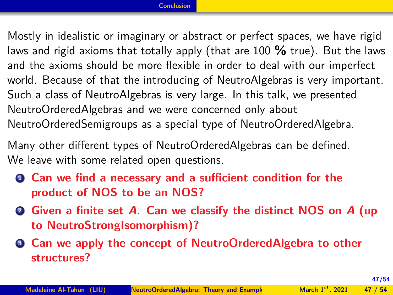<span id="page-46-0"></span>Mostly in idealistic or imaginary or abstract or perfect spaces, we have rigid laws and rigid axioms that totally apply (that are 100 **%** true). But the laws and the axioms should be more flexible in order to deal with our imperfect world. Because of that the introducing of NeutroAlgebras is very important. Such a class of NeutroAlgebras is very large. In this talk, we presented NeutroOrderedAlgebras and we were concerned only about NeutroOrderedSemigroups as a special type of NeutroOrderedAlgebra.

Many other different types of NeutroOrderedAlgebras can be defined. We leave with some related open questions.

- **<sup>1</sup> Can we find a necessary and a sufficient condition for the product of NOS to be an NOS?**
- **<sup>2</sup> Given a finite set A. Can we classify the distinct NOS on A (up to NeutroStrongIsomorphism)?**
- **<sup>3</sup> Can we apply the concept of NeutroOrderedAlgebra to other structures?**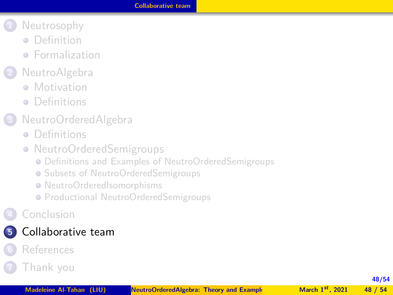- <span id="page-47-0"></span>**1** [Neutrosophy](#page-3-0)
	- **•** [Definition](#page-3-0)
	- **•** [Formalization](#page-5-0)
- **2** [NeutroAlgebra](#page-8-0)
	- **[Motivation](#page-8-0)**
	- **•** [Definitions](#page-12-0)
- **3** [NeutroOrderedAlgebra](#page-20-0)
	- **•** [Definitions](#page-20-0)
	- [NeutroOrderedSemigroups](#page-25-0)
		- [Definitions and Examples of NeutroOrderedSemigroups](#page-26-0)
		- **[Subsets of NeutroOrderedSemigroups](#page-32-0)**
		- [NeutroOrderedIsomorphisms](#page-37-0)
		- **[Productional NeutroOrderedSemigroups](#page-41-0)**
- **4** [Conclusion](#page-45-0)

## **5** [Collaborative team](#page-47-0)

**6** [References](#page-50-0)

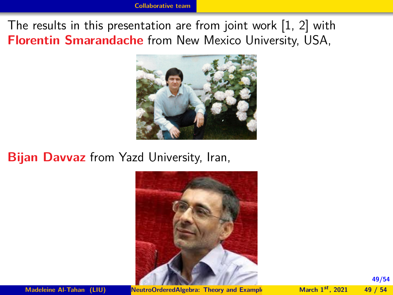<span id="page-48-0"></span>The results in this presentation are from joint work [1, 2] with **Florentin Smarandache** from New Mexico University, USA,



#### **Bijan Davvaz** from Yazd University, Iran,



**Madeleine Al-Tahan (LIU) NeutroOrderedAlgebra: Theory and Example March 1<sup>st</sup>, 2021** 49 / 54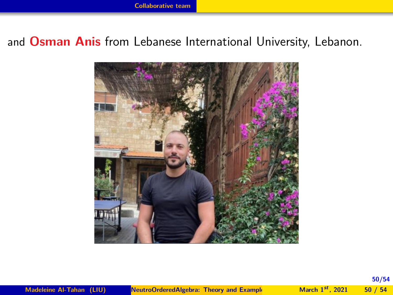#### <span id="page-49-0"></span>and **Osman Anis** from Lebanese International University, Lebanon.

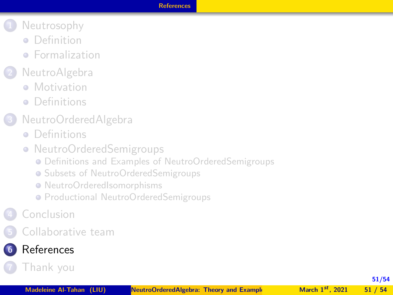#### **[References](#page-50-0)**

- <span id="page-50-0"></span>**1** [Neutrosophy](#page-3-0)
	- **•** [Definition](#page-3-0)
	- **•** [Formalization](#page-5-0)
- **2** [NeutroAlgebra](#page-8-0)
	- **[Motivation](#page-8-0)**
	- **•** [Definitions](#page-12-0)
- **3** [NeutroOrderedAlgebra](#page-20-0)
	- **•** [Definitions](#page-20-0)
	- [NeutroOrderedSemigroups](#page-25-0)
		- [Definitions and Examples of NeutroOrderedSemigroups](#page-26-0)
		- **[Subsets of NeutroOrderedSemigroups](#page-32-0)**
		- [NeutroOrderedIsomorphisms](#page-37-0)
		- **[Productional NeutroOrderedSemigroups](#page-41-0)**
- **4** [Conclusion](#page-45-0)
- **5** [Collaborative team](#page-47-0)
- **6** [References](#page-50-0)

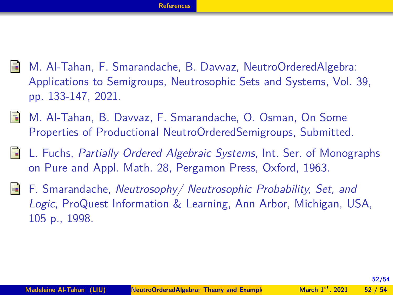- <span id="page-51-3"></span><span id="page-51-1"></span>歸 M. Al-Tahan, F. Smarandache, B. Davvaz, NeutroOrderedAlgebra: Applications to Semigroups, Neutrosophic Sets and Systems, Vol. 39, pp. 133-147, 2021.
- <span id="page-51-2"></span>M. Al-Tahan, B. Davvaz, F. Smarandache, O. Osman, On Some 暈 Properties of Productional NeutroOrderedSemigroups, Submitted.
- <span id="page-51-0"></span>暈 L. Fuchs, Partially Ordered Algebraic Systems, Int. Ser. of Monographs on Pure and Appl. Math. 28, Pergamon Press, Oxford, 1963.
- 5 F. Smarandache, Neutrosophy/ Neutrosophic Probability, Set, and Logic, ProQuest Information & Learning, Ann Arbor, Michigan, USA, 105 p., 1998.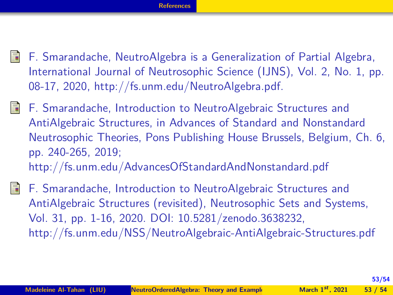- <span id="page-52-0"></span>晶 F. Smarandache, NeutroAlgebra is a Generalization of Partial Algebra, International Journal of Neutrosophic Science (IJNS), Vol. 2, No. 1, pp. 08-17, 2020, http://fs.unm.edu/NeutroAlgebra.pdf.
- 暈 F. Smarandache, Introduction to NeutroAlgebraic Structures and AntiAlgebraic Structures, in Advances of Standard and Nonstandard Neutrosophic Theories, Pons Publishing House Brussels, Belgium, Ch. 6, pp. 240-265, 2019; http://fs.unm.edu/AdvancesOfStandardAndNonstandard.pdf
- 品 F. Smarandache, Introduction to NeutroAlgebraic Structures and AntiAlgebraic Structures (revisited), Neutrosophic Sets and Systems, Vol. 31, pp. 1-16, 2020. DOI: 10.5281/zenodo.3638232, http://fs.unm.edu/NSS/NeutroAlgebraic-AntiAlgebraic-Structures.pdf